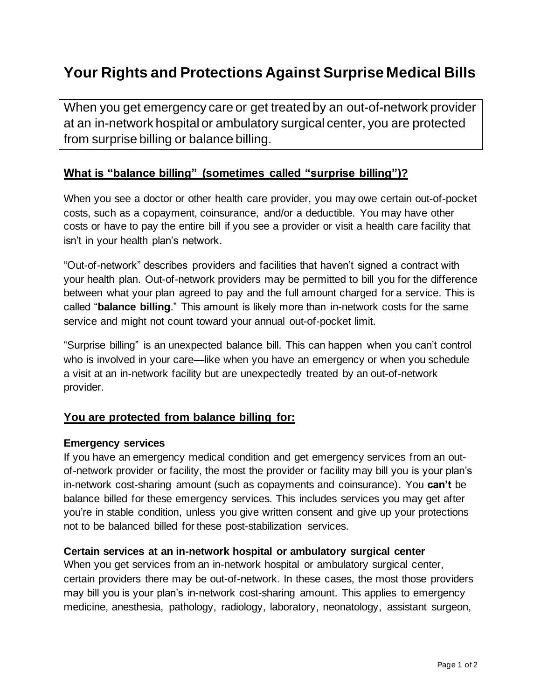# **Your Rights and Protections Against Surprise Medical Bills**

When you get emergency care or get treated by an out-of-network provider at an in-network hospital or ambulatory surgical center, you are protected from surprise billing or balance billing.

### **What is "balance billing" (sometimes called "surprise billing")?**

When you see a doctor or other health care provider, you may owe certain out-of-pocket costs, such as a copayment, coinsurance, and/or a deductible. You may have other costs or have to pay the entire bill if you see a provider or visit a health care facility that isn't in your health plan's network.

"Out-of-network" describes providers and facilities that haven't signed a contract with your health plan. Out-of-network providers may be permitted to bill you for the difference between what your plan agreed to pay and the full amount charged for a service. This is called "**balance billing**." This amount is likely more than in-network costs for the same service and might not count toward your annual out-of-pocket limit.

"Surprise billing" is an unexpected balance bill. This can happen when you can't control who is involved in your care—like when you have an emergency or when you schedule a visit at an in-network facility but are unexpectedly treated by an out-of-network provider.

## **You are protected from balance billing for:**

#### **Emergency services**

If you have an emergency medical condition and get emergency services from an outof-network provider or facility, the most the provider or facility may bill you is your plan's in-network cost-sharing amount (such as copayments and coinsurance). You **can't** be balance billed for these emergency services. This includes services you may get after you're in stable condition, unless you give written consent and give up your protections not to be balanced billed for these post-stabilization services.

#### **Certain services at an in-network hospital or ambulatory surgical center**

When you get services from an in-network hospital or ambulatory surgical center, certain providers there may be out-of-network. In these cases, the most those providers may bill you is your plan's in-network cost-sharing amount. This applies to emergency medicine, anesthesia, pathology, radiology, laboratory, neonatology, assistant surgeon,